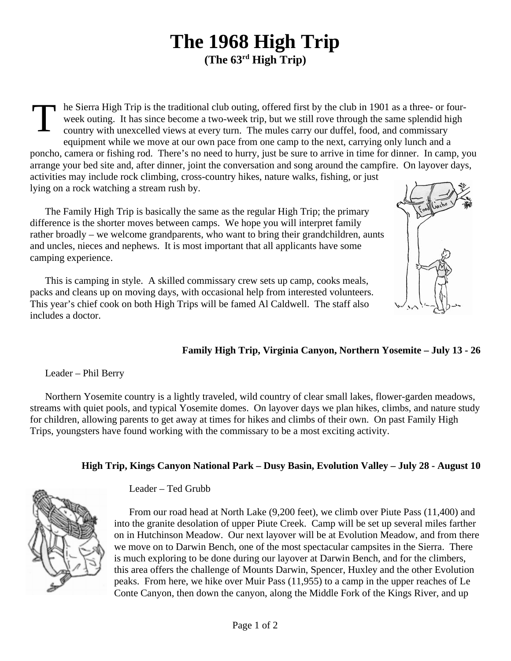## **The 1968 High Trip (The 63rd High Trip)**

T he Sierra High Trip is the traditional club outing, offered first by the club in 1901 as a three- or fourweek outing. It has since become a two-week trip, but we still rove through the same splendid high country with unexcelled views at every turn. The mules carry our duffel, food, and commissary equipment while we move at our own pace from one camp to the next, carrying only lunch and a poncho, camera or fishing rod. There's no need to hurry, just be sure to arrive in time for dinner. In camp, you arrange your bed site and, after dinner, joint the conversation and song around the campfire. On layover days, activities may include rock climbing, cross-country hikes, nature walks, fishing, or just lying on a rock watching a stream rush by.

The Family High Trip is basically the same as the regular High Trip; the primary difference is the shorter moves between camps. We hope you will interpret family rather broadly – we welcome grandparents, who want to bring their grandchildren, aunts and uncles, nieces and nephews. It is most important that all applicants have some camping experience.

This is camping in style. A skilled commissary crew sets up camp, cooks meals, packs and cleans up on moving days, with occasional help from interested volunteers. This year's chief cook on both High Trips will be famed Al Caldwell. The staff also includes a doctor.

## **Family High Trip, Virginia Canyon, Northern Yosemite – July 13 - 26**

Leader – Phil Berry

Northern Yosemite country is a lightly traveled, wild country of clear small lakes, flower-garden meadows, streams with quiet pools, and typical Yosemite domes. On layover days we plan hikes, climbs, and nature study for children, allowing parents to get away at times for hikes and climbs of their own. On past Family High Trips, youngsters have found working with the commissary to be a most exciting activity.

## **High Trip, Kings Canyon National Park – Dusy Basin, Evolution Valley – July 28 - August 10**



Leader – Ted Grubb

From our road head at North Lake (9,200 feet), we climb over Piute Pass (11,400) and into the granite desolation of upper Piute Creek. Camp will be set up several miles farther on in Hutchinson Meadow. Our next layover will be at Evolution Meadow, and from there we move on to Darwin Bench, one of the most spectacular campsites in the Sierra. There is much exploring to be done during our layover at Darwin Bench, and for the climbers, this area offers the challenge of Mounts Darwin, Spencer, Huxley and the other Evolution peaks. From here, we hike over Muir Pass (11,955) to a camp in the upper reaches of Le Conte Canyon, then down the canyon, along the Middle Fork of the Kings River, and up